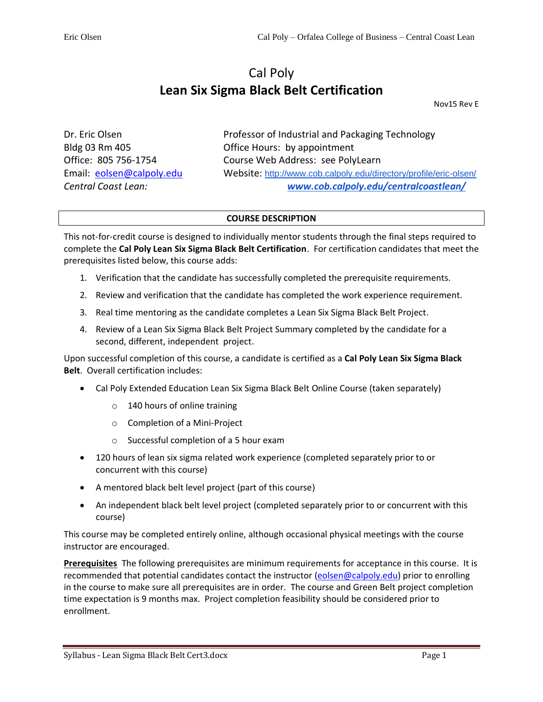# Cal Poly **Lean Six Sigma Black Belt Certification**

Nov15 Rev E

Dr. Eric Olsen **Professor of Industrial and Packaging Technology** Bldg 03 Rm 405 Office Hours: by appointment Office: 805 756-1754 Course Web Address: see PolyLearn Email: [eolsen@calpoly.edu](mailto:eolsen@calpoly.edu) Website: <http://www.cob.calpoly.edu/directory/profile/eric-olsen/> *Central Coast Lean: [www.cob.calpoly.edu/centralcoastlean/](http://www.cob.calpoly.edu/centralcoastlean/)*

### **COURSE DESCRIPTION**

This not-for-credit course is designed to individually mentor students through the final steps required to complete the **Cal Poly Lean Six Sigma Black Belt Certification**. For certification candidates that meet the prerequisites listed below, this course adds:

- 1. Verification that the candidate has successfully completed the prerequisite requirements.
- 2. Review and verification that the candidate has completed the work experience requirement.
- 3. Real time mentoring as the candidate completes a Lean Six Sigma Black Belt Project.
- 4. Review of a Lean Six Sigma Black Belt Project Summary completed by the candidate for a second, different, independent project.

Upon successful completion of this course, a candidate is certified as a **Cal Poly Lean Six Sigma Black Belt**. Overall certification includes:

- Cal Poly Extended Education Lean Six Sigma Black Belt Online Course (taken separately)
	- o 140 hours of online training
	- o Completion of a Mini-Project
	- o Successful completion of a 5 hour exam
- 120 hours of lean six sigma related work experience (completed separately prior to or concurrent with this course)
- A mentored black belt level project (part of this course)
- An independent black belt level project (completed separately prior to or concurrent with this course)

This course may be completed entirely online, although occasional physical meetings with the course instructor are encouraged.

**Prerequisites** The following prerequisites are minimum requirements for acceptance in this course. It is recommended that potential candidates contact the instructor [\(eolsen@calpoly.edu\)](mailto:eolsen@calpoly.edu) prior to enrolling in the course to make sure all prerequisites are in order. The course and Green Belt project completion time expectation is 9 months max. Project completion feasibility should be considered prior to enrollment.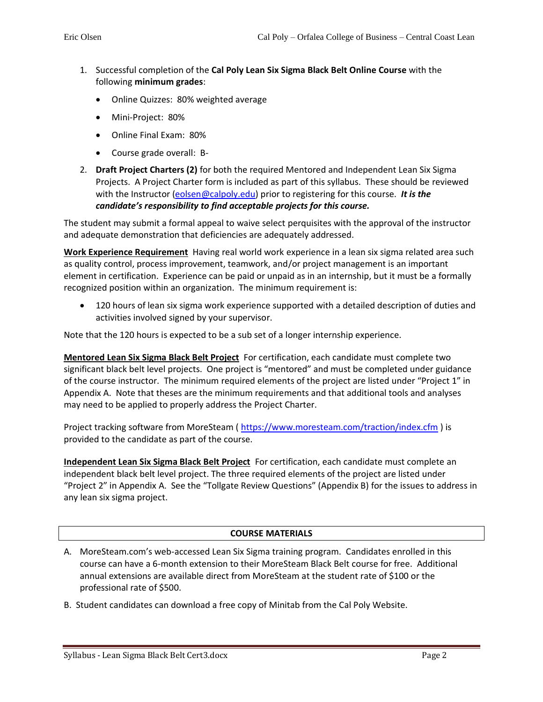- 1. Successful completion of the **Cal Poly Lean Six Sigma Black Belt Online Course** with the following **minimum grades**:
	- Online Quizzes: 80% weighted average
	- Mini-Project: 80%
	- Online Final Exam: 80%
	- Course grade overall: B-
- 2. **Draft Project Charters (2)** for both the required Mentored and Independent Lean Six Sigma Projects. A Project Charter form is included as part of this syllabus. These should be reviewed with the Instructor [\(eolsen@calpoly.edu\)](mailto:eolsen@calpoly.edu) prior to registering for this course. *It is the candidate's responsibility to find acceptable projects for this course.*

The student may submit a formal appeal to waive select perquisites with the approval of the instructor and adequate demonstration that deficiencies are adequately addressed.

**Work Experience Requirement** Having real world work experience in a lean six sigma related area such as quality control, process improvement, teamwork, and/or project management is an important element in certification. Experience can be paid or unpaid as in an internship, but it must be a formally recognized position within an organization. The minimum requirement is:

• 120 hours of lean six sigma work experience supported with a detailed description of duties and activities involved signed by your supervisor.

Note that the 120 hours is expected to be a sub set of a longer internship experience.

**Mentored Lean Six Sigma Black Belt Project** For certification, each candidate must complete two significant black belt level projects. One project is "mentored" and must be completed under guidance of the course instructor. The minimum required elements of the project are listed under "Project 1" in Appendix A. Note that theses are the minimum requirements and that additional tools and analyses may need to be applied to properly address the Project Charter.

Project tracking software from MoreSteam (<https://www.moresteam.com/traction/index.cfm> ) is provided to the candidate as part of the course.

**Independent Lean Six Sigma Black Belt Project** For certification, each candidate must complete an independent black belt level project. The three required elements of the project are listed under "Project 2" in Appendix A. See the "Tollgate Review Questions" (Appendix B) for the issues to address in any lean six sigma project.

### **COURSE MATERIALS**

- A. MoreSteam.com's web-accessed Lean Six Sigma training program. Candidates enrolled in this course can have a 6-month extension to their MoreSteam Black Belt course for free. Additional annual extensions are available direct from MoreSteam at the student rate of \$100 or the professional rate of \$500.
- B. Student candidates can download a free copy of Minitab from the Cal Poly Website.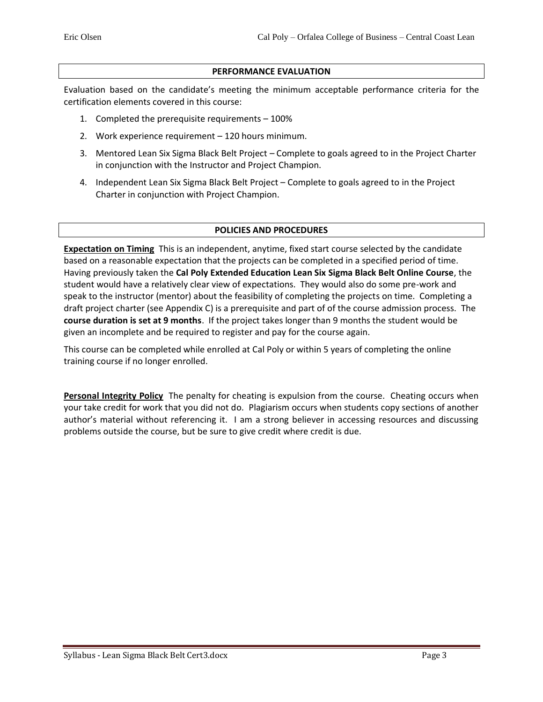#### **PERFORMANCE EVALUATION**

Evaluation based on the candidate's meeting the minimum acceptable performance criteria for the certification elements covered in this course:

- 1. Completed the prerequisite requirements 100%
- 2. Work experience requirement 120 hours minimum.
- 3. Mentored Lean Six Sigma Black Belt Project Complete to goals agreed to in the Project Charter in conjunction with the Instructor and Project Champion.
- 4. Independent Lean Six Sigma Black Belt Project Complete to goals agreed to in the Project Charter in conjunction with Project Champion.

#### **POLICIES AND PROCEDURES**

**Expectation on Timing** This is an independent, anytime, fixed start course selected by the candidate based on a reasonable expectation that the projects can be completed in a specified period of time. Having previously taken the **Cal Poly Extended Education Lean Six Sigma Black Belt Online Course**, the student would have a relatively clear view of expectations. They would also do some pre-work and speak to the instructor (mentor) about the feasibility of completing the projects on time. Completing a draft project charter (see Appendix C) is a prerequisite and part of of the course admission process. The **course duration is set at 9 months**. If the project takes longer than 9 months the student would be given an incomplete and be required to register and pay for the course again.

This course can be completed while enrolled at Cal Poly or within 5 years of completing the online training course if no longer enrolled.

**Personal Integrity Policy** The penalty for cheating is expulsion from the course. Cheating occurs when your take credit for work that you did not do. Plagiarism occurs when students copy sections of another author's material without referencing it. I am a strong believer in accessing resources and discussing problems outside the course, but be sure to give credit where credit is due.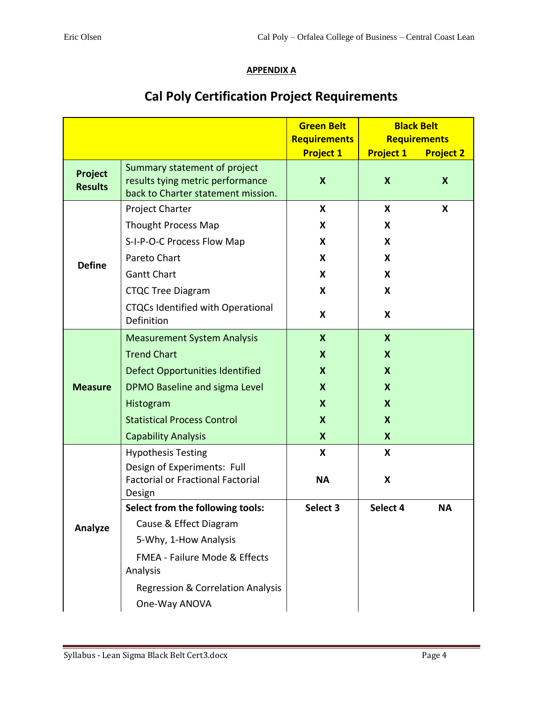## **APPENDIX A**

|                           |                                                                                                        | <b>Green Belt</b>                       | <b>Black Belt</b><br><b>Requirements</b> |                  |
|---------------------------|--------------------------------------------------------------------------------------------------------|-----------------------------------------|------------------------------------------|------------------|
|                           |                                                                                                        | <b>Requirements</b><br><b>Project 1</b> | <b>Project 1</b>                         | <b>Project 2</b> |
| Project<br><b>Results</b> | Summary statement of project<br>results tying metric performance<br>back to Charter statement mission. | $\boldsymbol{\mathsf{X}}$               | $\boldsymbol{\mathsf{X}}$                | $\mathbf{x}$     |
| <b>Define</b>             | Project Charter                                                                                        | X                                       | X                                        | X                |
|                           | Thought Process Map                                                                                    | X                                       | X                                        |                  |
|                           | S-I-P-O-C Process Flow Map                                                                             | X                                       | X                                        |                  |
|                           | Pareto Chart                                                                                           | X                                       | X                                        |                  |
|                           | <b>Gantt Chart</b>                                                                                     | X                                       | X                                        |                  |
|                           | <b>CTQC Tree Diagram</b>                                                                               | X                                       | X                                        |                  |
|                           | <b>CTQCs Identified with Operational</b><br>Definition                                                 | X                                       | X                                        |                  |
|                           | <b>Measurement System Analysis</b>                                                                     | $\boldsymbol{X}$                        | $\boldsymbol{\mathsf{X}}$                |                  |
|                           | <b>Trend Chart</b>                                                                                     | X                                       | X                                        |                  |
| <b>Measure</b>            | <b>Defect Opportunities Identified</b>                                                                 | X                                       | $\boldsymbol{\mathsf{X}}$                |                  |
|                           | DPMO Baseline and sigma Level                                                                          | X                                       | $\boldsymbol{\mathsf{x}}$                |                  |
|                           | Histogram                                                                                              | X                                       | X                                        |                  |
|                           | <b>Statistical Process Control</b>                                                                     | X                                       | $\boldsymbol{\mathsf{x}}$                |                  |
|                           | <b>Capability Analysis</b>                                                                             | X                                       | X                                        |                  |
|                           | <b>Hypothesis Testing</b>                                                                              | X                                       | X                                        |                  |
|                           | Design of Experiments: Full<br><b>Factorial or Fractional Factorial</b><br>Design                      | <b>NA</b>                               | X                                        |                  |
|                           | Select from the following tools:                                                                       | Select 3                                | Select 4                                 | NΑ               |
| Analyze                   | Cause & Effect Diagram                                                                                 |                                         |                                          |                  |
|                           | 5-Why, 1-How Analysis                                                                                  |                                         |                                          |                  |
|                           | <b>FMEA - Failure Mode &amp; Effects</b><br>Analysis                                                   |                                         |                                          |                  |
|                           | <b>Regression &amp; Correlation Analysis</b><br>One-Way ANOVA                                          |                                         |                                          |                  |

# **Cal Poly Certification Project Requirements**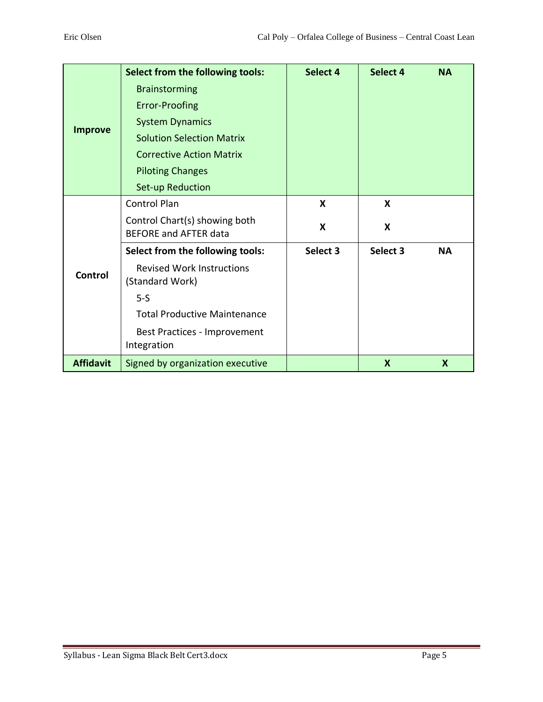| <b>Improve</b>   | Select from the following tools:                              | Select 4 | Select 4 | <b>NA</b>        |
|------------------|---------------------------------------------------------------|----------|----------|------------------|
|                  | <b>Brainstorming</b>                                          |          |          |                  |
|                  | Error-Proofing                                                |          |          |                  |
|                  | <b>System Dynamics</b>                                        |          |          |                  |
|                  | <b>Solution Selection Matrix</b>                              |          |          |                  |
|                  | <b>Corrective Action Matrix</b>                               |          |          |                  |
|                  | <b>Piloting Changes</b>                                       |          |          |                  |
|                  | Set-up Reduction                                              |          |          |                  |
| Control          | <b>Control Plan</b>                                           | X        | X        |                  |
|                  | Control Chart(s) showing both<br><b>BEFORE and AFTER data</b> | X        | X        |                  |
|                  | Select from the following tools:                              | Select 3 | Select 3 | <b>NA</b>        |
|                  | <b>Revised Work Instructions</b><br>(Standard Work)           |          |          |                  |
|                  | $5-S$                                                         |          |          |                  |
|                  | <b>Total Productive Maintenance</b>                           |          |          |                  |
|                  | Best Practices - Improvement<br>Integration                   |          |          |                  |
| <b>Affidavit</b> | Signed by organization executive                              |          | X        | $\boldsymbol{X}$ |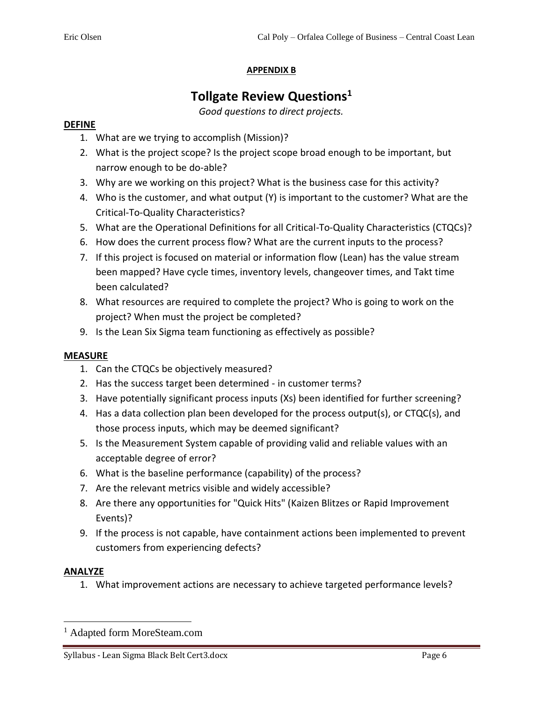## **APPENDIX B**

## **Tollgate Review Questions<sup>1</sup>**

*Good questions to direct projects.*

## **DEFINE**

- 1. What are we trying to accomplish (Mission)?
- 2. What is the project scope? Is the project scope broad enough to be important, but narrow enough to be do-able?
- 3. Why are we working on this project? What is the business case for this activity?
- 4. Who is the customer, and what output (Y) is important to the customer? What are the Critical-To-Quality Characteristics?
- 5. What are the Operational Definitions for all Critical-To-Quality Characteristics (CTQCs)?
- 6. How does the current process flow? What are the current inputs to the process?
- 7. If this project is focused on material or information flow (Lean) has the value stream been mapped? Have cycle times, inventory levels, changeover times, and Takt time been calculated?
- 8. What resources are required to complete the project? Who is going to work on the project? When must the project be completed?
- 9. Is the Lean Six Sigma team functioning as effectively as possible?

## **MEASURE**

- 1. Can the CTQCs be objectively measured?
- 2. Has the success target been determined in customer terms?
- 3. Have potentially significant process inputs (Xs) been identified for further screening?
- 4. Has a data collection plan been developed for the process output(s), or CTQC(s), and those process inputs, which may be deemed significant?
- 5. Is the Measurement System capable of providing valid and reliable values with an acceptable degree of error?
- 6. What is the baseline performance (capability) of the process?
- 7. Are the relevant metrics visible and widely accessible?
- 8. Are there any opportunities for "Quick Hits" (Kaizen Blitzes or Rapid Improvement Events)?
- 9. If the process is not capable, have containment actions been implemented to prevent customers from experiencing defects?

### **ANALYZE**

1. What improvement actions are necessary to achieve targeted performance levels?

<sup>1</sup> Adapted form MoreSteam.com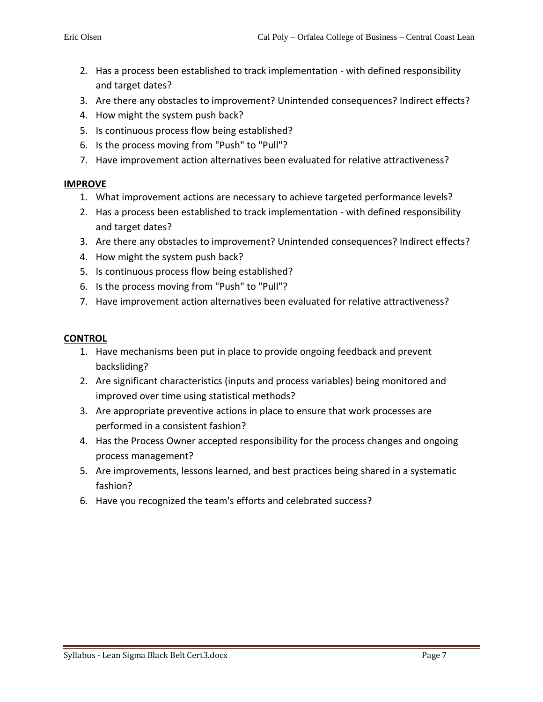- 2. Has a process been established to track implementation with defined responsibility and target dates?
- 3. Are there any obstacles to improvement? Unintended consequences? Indirect effects?
- 4. How might the system push back?
- 5. Is continuous process flow being established?
- 6. Is the process moving from "Push" to "Pull"?
- 7. Have improvement action alternatives been evaluated for relative attractiveness?

### **IMPROVE**

- 1. What improvement actions are necessary to achieve targeted performance levels?
- 2. Has a process been established to track implementation with defined responsibility and target dates?
- 3. Are there any obstacles to improvement? Unintended consequences? Indirect effects?
- 4. How might the system push back?
- 5. Is continuous process flow being established?
- 6. Is the process moving from "Push" to "Pull"?
- 7. Have improvement action alternatives been evaluated for relative attractiveness?

### **CONTROL**

- 1. Have mechanisms been put in place to provide ongoing feedback and prevent backsliding?
- 2. Are significant characteristics (inputs and process variables) being monitored and improved over time using statistical methods?
- 3. Are appropriate preventive actions in place to ensure that work processes are performed in a consistent fashion?
- 4. Has the Process Owner accepted responsibility for the process changes and ongoing process management?
- 5. Are improvements, lessons learned, and best practices being shared in a systematic fashion?
- 6. Have you recognized the team's efforts and celebrated success?